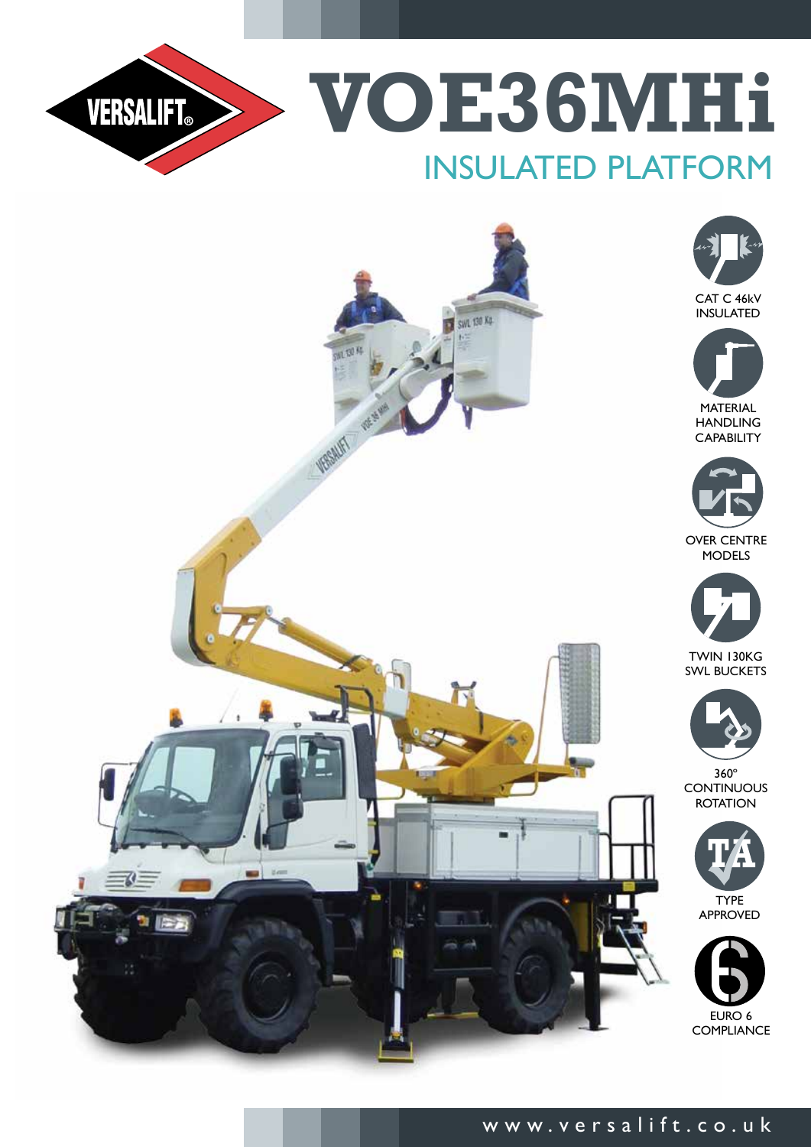

**VOE36MHi** Insulated platform



# www.versalift.co.uk